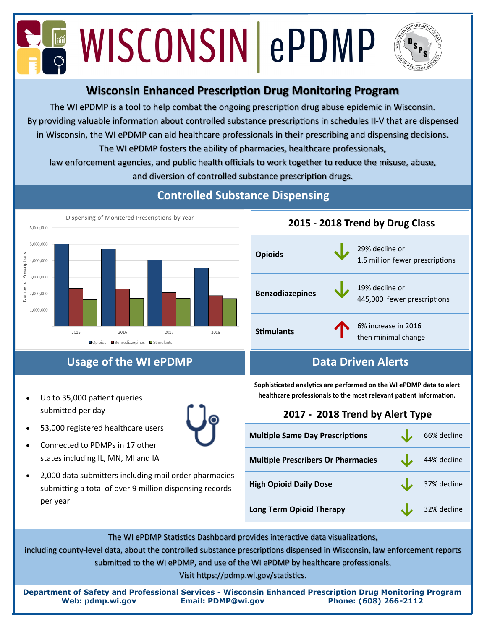# **EN WISCONSIN ePDMP**



## **Wisconsin Enhanced Prescription Drug Monitoring Program**

The WI ePDMP is a tool to help combat the ongoing prescription drug abuse epidemic in Wisconsin. By providing valuable information about controlled substance prescriptions in schedules II-V that are dispensed in Wisconsin, the WI ePDMP can aid healthcare professionals in their prescribing and dispensing decisions. The WI ePDMP fosters the ability of pharmacies, healthcare professionals,

law enforcement agencies, and public health officials to work together to reduce the misuse, abuse, and diversion of controlled substance prescription drugs.



# **Controlled Substance Dispensing**



## **Usage of the WI ePDMP Data Driven Alerts Data Driven Alerts**

- Up to 35,000 patient queries submitted per day
- 
- 53,000 registered healthcare users • Connected to PDMPs in 17 other
- states including IL, MN, MI and IA • 2,000 data submitters including mail order pharmacies
- submitting a total of over 9 million dispensing records per year

**Sophisticated analytics are performed on the WI ePDMP data to alert healthcare professionals to the most relevant patient information.**

**2015 - 2018 Trend by Drug Class**

# **2017 - 2018 Trend by Alert Type**

| <b>Multiple Same Day Prescriptions</b>    | 66% decline |
|-------------------------------------------|-------------|
| <b>Multiple Prescribers Or Pharmacies</b> | 44% decline |
| <b>High Opioid Daily Dose</b>             | 37% decline |
| <b>Long Term Opioid Therapy</b>           | 32% decline |

The WI ePDMP Statistics Dashboard provides interactive data visualizations,

including county-level data, about the controlled substance prescriptions dispensed in Wisconsin, law enforcement reports submitted to the WI ePDMP, and use of the WI ePDMP by healthcare professionals.

Visit https://pdmp.wi.gov/statistics.

**Department of Safety and Professional Services - Wisconsin Enhanced Prescription Drug Monitoring Program Web: pdmp.wi.gov Email: PDMP@wi.gov Phone: (608) 266-2112**